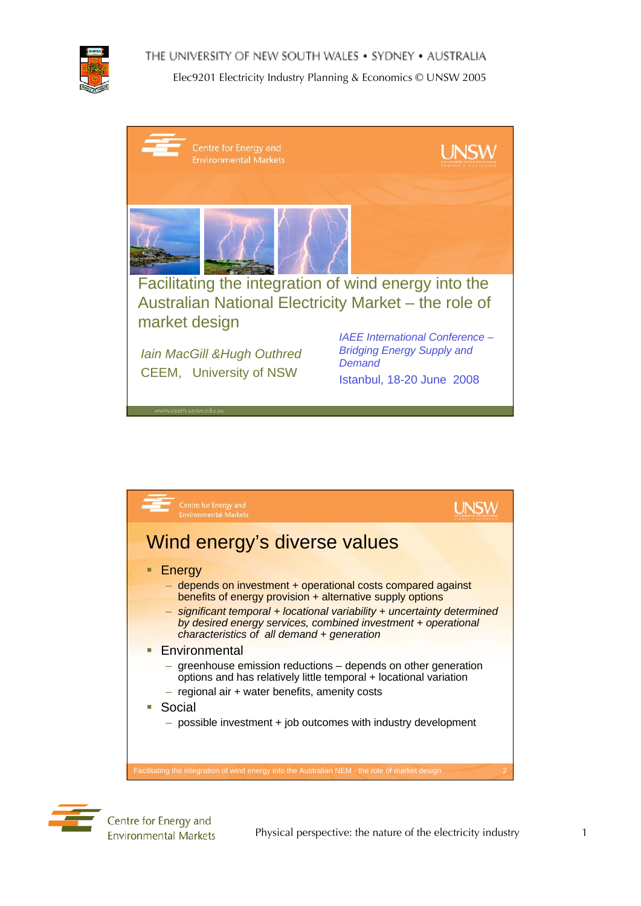

THE UNIVERSITY OF NEW SOUTH WALES . SYDNEY . AUSTRALIA





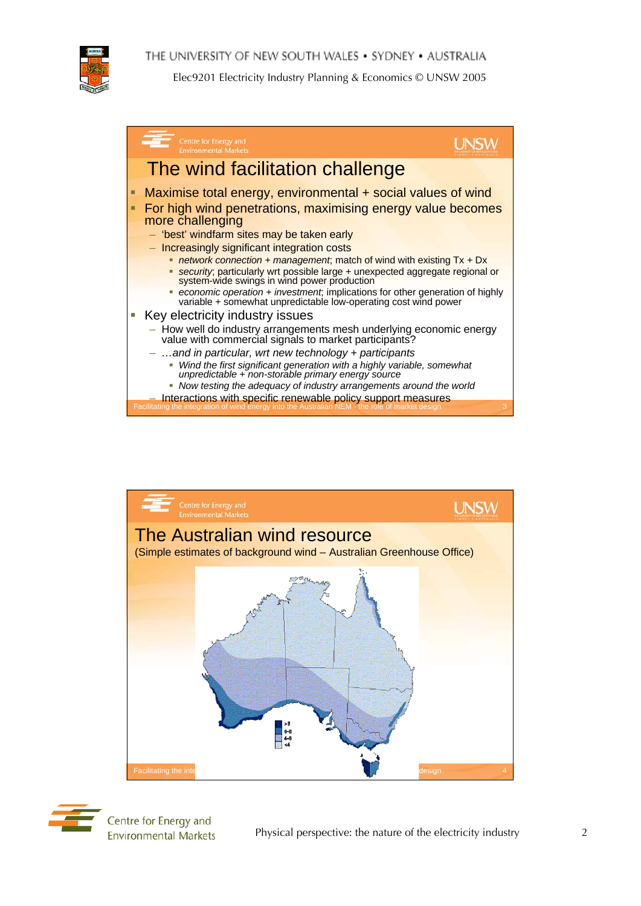THE UNIVERSITY OF NEW SOUTH WALES . SYDNEY . AUSTRALIA



Elec9201 Electricity Industry Planning & Economics © UNSW 2005







Centre for Energy and **Environmental Markets** 

Physical perspective: the nature of the electricity industry 2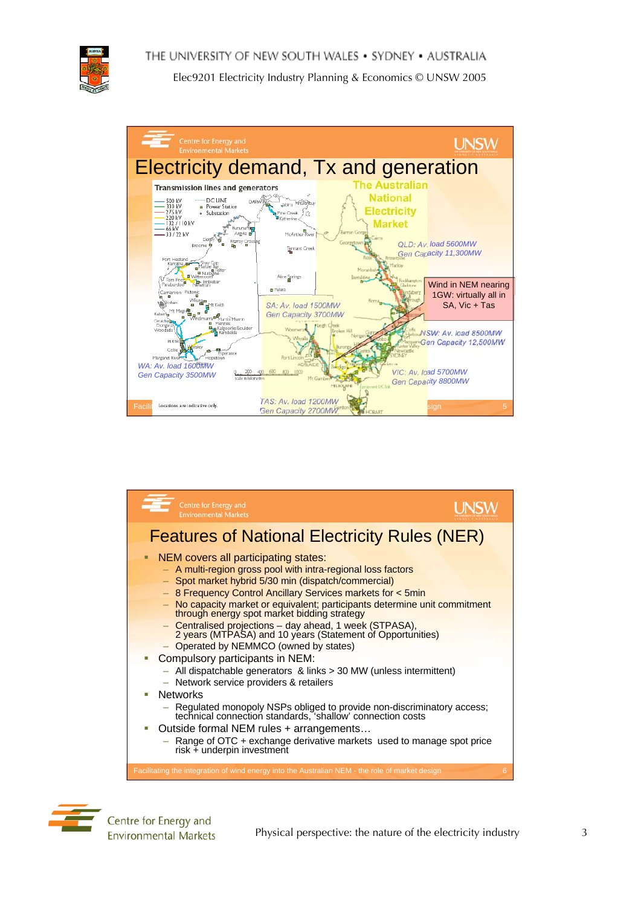





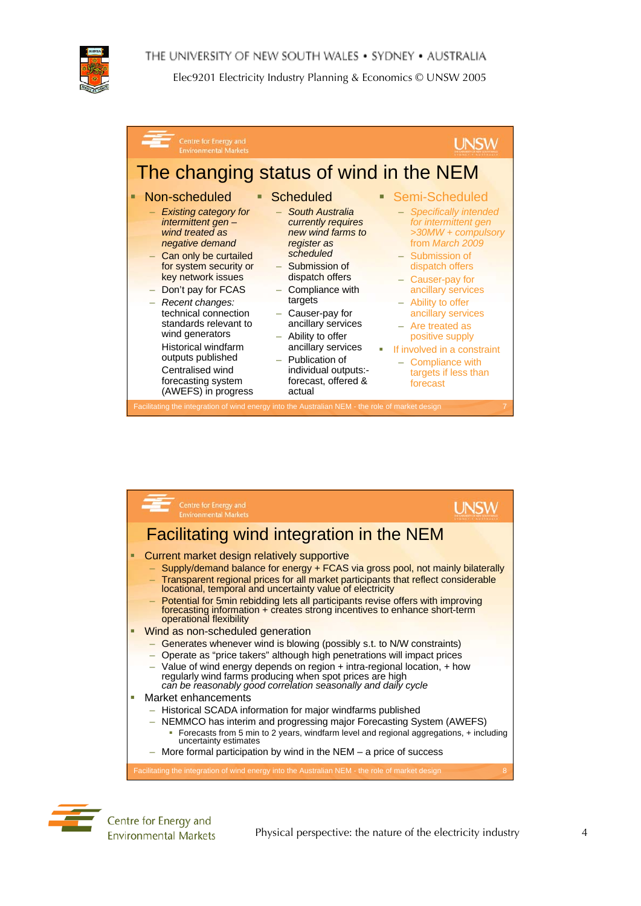



| Centre for Energy and<br><b>Environmental Markets</b>                                                                                                                                                                                                                                                                                                                                             |                                                                                                                                                                                                                                                                                                                                                          |                                                                                                                                                                                                                                                                                                                                                                                                 |
|---------------------------------------------------------------------------------------------------------------------------------------------------------------------------------------------------------------------------------------------------------------------------------------------------------------------------------------------------------------------------------------------------|----------------------------------------------------------------------------------------------------------------------------------------------------------------------------------------------------------------------------------------------------------------------------------------------------------------------------------------------------------|-------------------------------------------------------------------------------------------------------------------------------------------------------------------------------------------------------------------------------------------------------------------------------------------------------------------------------------------------------------------------------------------------|
| The changing status of wind in the NEM                                                                                                                                                                                                                                                                                                                                                            |                                                                                                                                                                                                                                                                                                                                                          |                                                                                                                                                                                                                                                                                                                                                                                                 |
| Non-scheduled<br>п<br>- Existing category for<br>intermittent gen-<br>wind treated as<br>negative demand<br>- Can only be curtailed<br>for system security or<br>key network issues<br>- Don't pay for FCAS<br>- Recent changes:<br>technical connection<br>standards relevant to<br>wind generators<br><b>Historical windfarm</b><br>outputs published<br>Centralised wind<br>forecasting system | <b>Scheduled</b><br><b>South Australia</b><br>currently requires<br>new wind farms to<br>register as<br>scheduled<br>- Submission of<br>dispatch offers<br>Compliance with<br>targets<br>Causer-pay for<br>ancillary services<br>Ability to offer<br>$\equiv$<br>ancillary services<br>$-$ Publication of<br>individual outputs:-<br>forecast, offered & | Semi-Scheduled<br>$\blacksquare$<br>- Specifically intended<br>for intermittent gen<br>>30MW + compulsory<br>from March 2009<br>- Submission of<br>dispatch offers<br>- Causer-pay for<br>ancillary services<br>- Ability to offer<br>ancillary services<br>$-$ Are treated as<br>positive supply<br>If involved in a constraint<br>a.<br>- Compliance with<br>targets if less than<br>forecast |
| (AWEFS) in progress<br>Facilitating the integration of wind energy into the Australian NEM - the role of market design                                                                                                                                                                                                                                                                            | actual                                                                                                                                                                                                                                                                                                                                                   | 7                                                                                                                                                                                                                                                                                                                                                                                               |



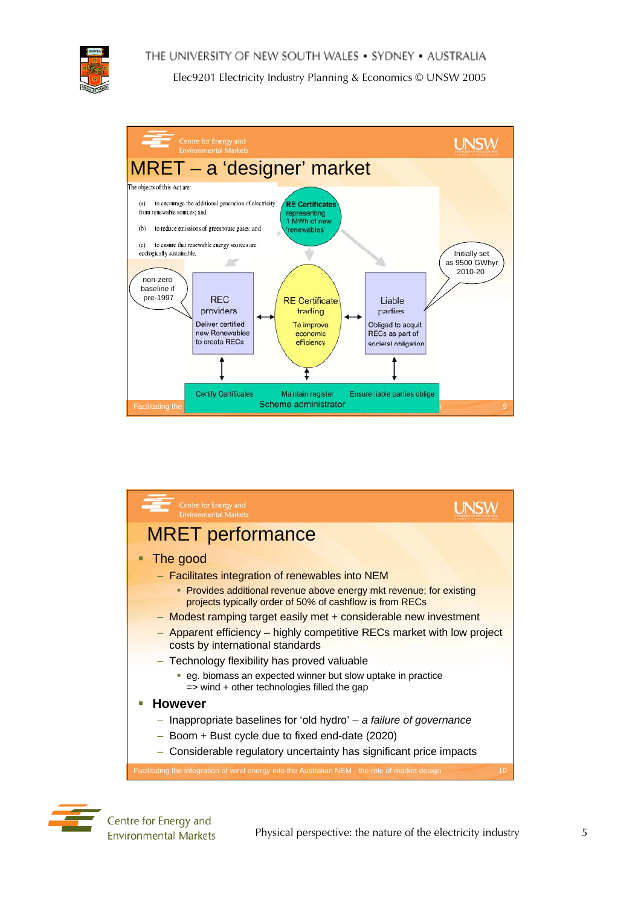





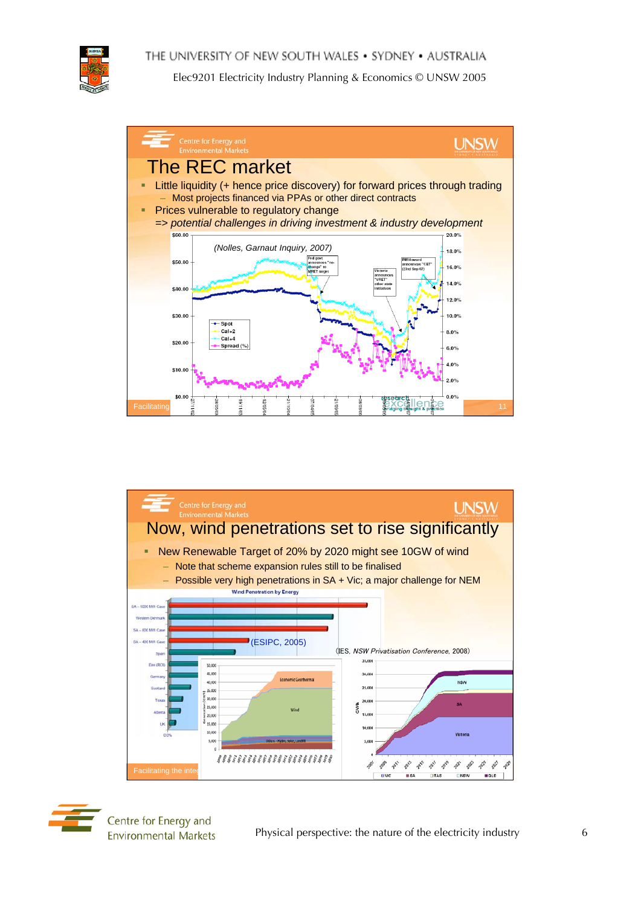







Centre for Energy and **Environmental Markets**